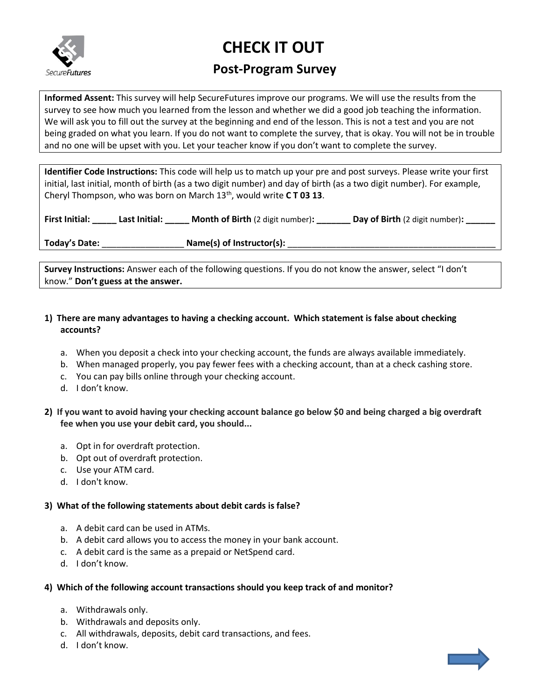

# **CHECK IT OUT**

# **Post-Program Survey**

**Informed Assent:** This survey will help SecureFutures improve our programs. We will use the results from the survey to see how much you learned from the lesson and whether we did a good job teaching the information. We will ask you to fill out the survey at the beginning and end of the lesson. This is not a test and you are not being graded on what you learn. If you do not want to complete the survey, that is okay. You will not be in trouble and no one will be upset with you. Let your teacher know if you don't want to complete the survey.

**Identifier Code Instructions:** This code will help us to match up your pre and post surveys. Please write your first initial, last initial, month of birth (as a two digit number) and day of birth (as a two digit number). For example, Cheryl Thompson, who was born on March 13<sup>th</sup>, would write **CT 03 13**.

| <b>First Initial:</b> | Last Initial: | <b>Month of Birth</b> (2 digit number): | Day of Birth (2 digit number): |
|-----------------------|---------------|-----------------------------------------|--------------------------------|
|                       |               |                                         |                                |

**Today's Date:** \_\_\_\_\_\_\_\_\_\_\_\_\_\_\_\_\_ **Name(s) of Instructor(s):** \_\_\_\_\_\_\_\_\_\_\_\_\_\_\_\_\_\_\_\_\_\_\_\_\_\_\_\_\_\_\_\_\_\_\_\_\_\_\_\_\_\_\_

**Survey Instructions:** Answer each of the following questions. If you do not know the answer, select "I don't know." **Don't guess at the answer.**

# **1) There are many advantages to having a checking account. Which statement is false about checking accounts?**

- a. When you deposit a check into your checking account, the funds are always available immediately.
- b. When managed properly, you pay fewer fees with a checking account, than at a check cashing store.
- c. You can pay bills online through your checking account.
- d. I don't know.
- **2) If you want to avoid having your checking account balance go below \$0 and being charged a big overdraft fee when you use your debit card, you should...**
	- a. Opt in for overdraft protection.
	- b. Opt out of overdraft protection.
	- c. Use your ATM card.
	- d. I don't know.

# **3) What of the following statements about debit cards is false?**

- a. A debit card can be used in ATMs.
- b. A debit card allows you to access the money in your bank account.
- c. A debit card is the same as a prepaid or NetSpend card.
- d. I don't know.

# **4) Which of the following account transactions should you keep track of and monitor?**

- a. Withdrawals only.
- b. Withdrawals and deposits only.
- c. All withdrawals, deposits, debit card transactions, and fees.
- d. I don't know.